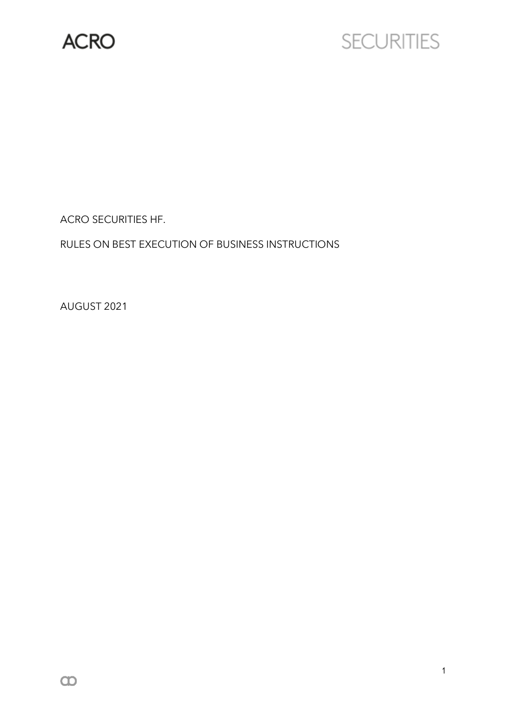

# **SECURITIES**

ACRO SECURITIES HF.

RULES ON BEST EXECUTION OF BUSINESS INSTRUCTIONS

AUGUST 2021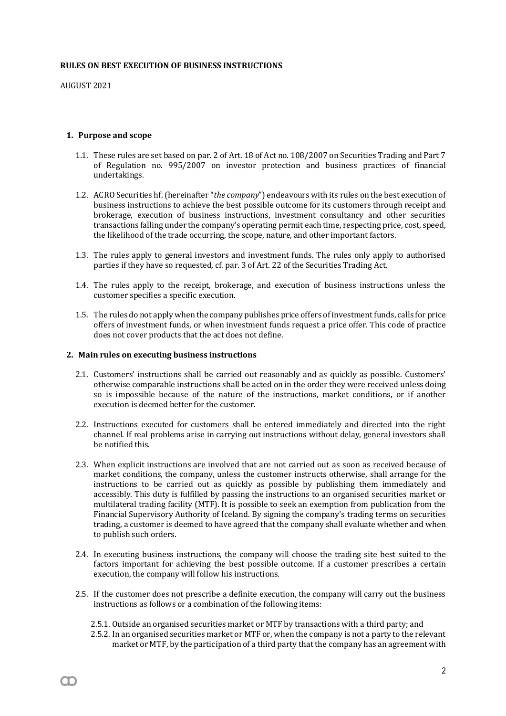#### **RULES ON BEST EXECUTION OF BUSINESS INSTRUCTIONS**

AUGUST 2021

m

#### **1. Purpose and scope**

- 1.1. These rules are set based on par. 2 of Art. 18 of Act no. 108/2007 on Securities Trading and Part 7 of Regulation no. 995/2007 on investor protection and business practices of financial undertakings.
- 1.2. ACRO Securities hf. (hereinafter "*the company*") endeavours with its rules on the best execution of business instructions to achieve the best possible outcome for its customers through receipt and brokerage, execution of business instructions, investment consultancy and other securities transactions falling under the company's operating permit each time, respecting price, cost, speed, the likelihood of the trade occurring, the scope, nature, and other important factors.
- 1.3. The rules apply to general investors and investment funds. The rules only apply to authorised parties if they have so requested, cf. par. 3 of Art. 22 of the Securities Trading Act.
- 1.4. The rules apply to the receipt, brokerage, and execution of business instructions unless the customer specifies a specific execution.
- 1.5. The rules do not apply when the company publishes price offers ofinvestmentfunds, calls for price offers of investment funds, or when investment funds request a price offer. This code of practice does not cover products that the act does not define.

#### **2. Main rules on executing business instructions**

- 2.1. Customers' instructions shall be carried out reasonably and as quickly as possible. Customers' otherwise comparable instructions shall be acted on in the order they were received unless doing so is impossible because of the nature of the instructions, market conditions, or if another execution is deemed better for the customer.
- 2.2. Instructions executed for customers shall be entered immediately and directed into the right channel. If real problems arise in carrying out instructions without delay, general investors shall be notified this.
- 2.3. When explicit instructions are involved that are not carried out as soon as received because of market conditions, the company, unless the customer instructs otherwise, shall arrange for the instructions to be carried out as quickly as possible by publishing them immediately and accessibly. This duty is fulfilled by passing the instructions to an organised securities market or multilateral trading facility (MTF). It is possible to seek an exemption from publication from the Financial Supervisory Authority of Iceland. By signing the company's trading terms on securities trading, a customer is deemed to have agreed that the company shall evaluate whether and when to publish such orders.
- 2.4. In executing business instructions, the company will choose the trading site best suited to the factors important for achieving the best possible outcome. If a customer prescribes a certain execution, the company will follow his instructions.
- 2.5. If the customer does not prescribe a definite execution, the company will carry out the business instructions as follows or a combination of the following items:
	- 2.5.1. Outside an organised securities market or MTF by transactions with a third party; and
	- 2.5.2. In an organised securities market or MTF or, when the company is not a party to the relevant market or MTF, by the participation of a third party that the company has an agreement with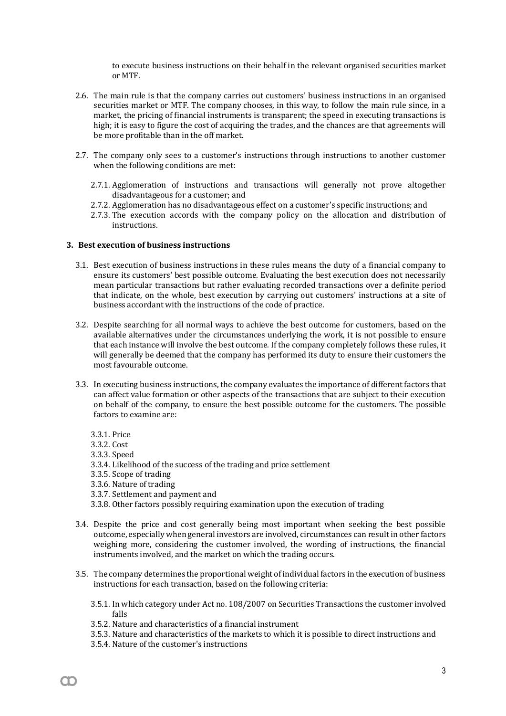to execute business instructions on their behalf in the relevant organised securities market or MTF.

- 2.6. The main rule is that the company carries out customers' business instructions in an organised securities market or MTF. The company chooses, in this way, to follow the main rule since, in a market, the pricing of financial instruments is transparent; the speed in executing transactions is high; it is easy to figure the cost of acquiring the trades, and the chances are that agreements will be more profitable than in the off market.
- 2.7. The company only sees to a customer's instructions through instructions to another customer when the following conditions are met:
	- 2.7.1. Agglomeration of instructions and transactions will generally not prove altogether disadvantageous for a customer; and
	- 2.7.2. Agglomeration has no disadvantageous effect on a customer's specific instructions; and
	- 2.7.3. The execution accords with the company policy on the allocation and distribution of instructions.

#### **3. Best execution of business instructions**

- 3.1. Best execution of business instructions in these rules means the duty of a financial company to ensure its customers' best possible outcome. Evaluating the best execution does not necessarily mean particular transactions but rather evaluating recorded transactions over a definite period that indicate, on the whole, best execution by carrying out customers' instructions at a site of business accordant with the instructions of the code of practice.
- 3.2. Despite searching for all normal ways to achieve the best outcome for customers, based on the available alternatives under the circumstances underlying the work, it is not possible to ensure that each instance will involve the best outcome. If the company completely follows these rules, it will generally be deemed that the company has performed its duty to ensure their customers the most favourable outcome.
- 3.3. In executing business instructions, the company evaluates the importance of different factors that can affect value formation or other aspects of the transactions that are subject to their execution on behalf of the company, to ensure the best possible outcome for the customers. The possible factors to examine are:
	- 3.3.1. Price
	- 3.3.2. Cost
	- 3.3.3. Speed

M

- 3.3.4. Likelihood of the success of the trading and price settlement
- 3.3.5. Scope of trading
- 3.3.6. Nature of trading
- 3.3.7. Settlement and payment and
- 3.3.8. Other factors possibly requiring examination upon the execution of trading
- 3.4. Despite the price and cost generally being most important when seeking the best possible outcome, especially when general investors are involved, circumstances can result in other factors weighing more, considering the customer involved, the wording of instructions, the financial instruments involved, and the market on which the trading occurs.
- 3.5. The company determines the proportional weight of individual factors in the execution of business instructions for each transaction, based on the following criteria:
	- 3.5.1. In which category under Act no. 108/2007 on Securities Transactions the customer involved falls
	- 3.5.2. Nature and characteristics of a financial instrument
	- 3.5.3. Nature and characteristics of the markets to which it is possible to direct instructions and
	- 3.5.4. Nature of the customer's instructions

3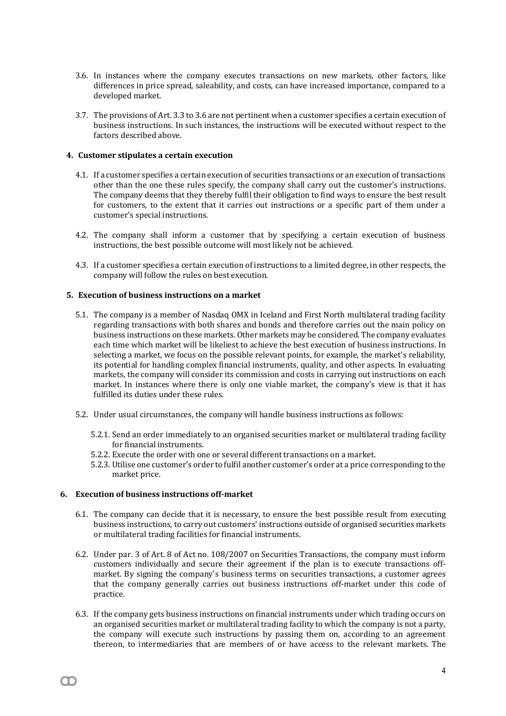- 3.6. In instances where the company executes transactions on new markets, other factors, like differences in price spread, saleability, and costs, can have increased importance, compared to a developed market.
- 3.7. The provisions of Art. 3.3 to 3.6 are not pertinent when a customer specifies a certain execution of business instructions. In such instances, the instructions will be executed without respect to the factors described above.

## **4. Customer stipulates a certain execution**

- 4.1. If a customer specifies a certain execution of securities transactions or an execution of transactions other than the one these rules specify, the company shall carry out the customer's instructions. The company deems that they thereby fulfil their obligation to find ways to ensure the best result for customers, to the extent that it carries out instructions or a specific part of them under a customer's special instructions.
- 4.2. The company shall inform a customer that by specifying a certain execution of business instructions, the best possible outcome will most likely not be achieved.
- 4.3. If a customer specifies a certain execution of instructions to a limited degree, in other respects, the company will follow the rules on best execution.

# **5. Execution of business instructions on a market**

- 5.1. The company is a member of Nasdaq OMX in Iceland and First North multilateral trading facility regarding transactions with both shares and bonds and therefore carries out the main policy on business instructions on these markets. Other markets may be considered. The company evaluates each time which market will be likeliest to achieve the best execution of business instructions. In selecting a market, we focus on the possible relevant points, for example, the market's reliability, its potential for handling complex financial instruments, quality, and other aspects. In evaluating markets, the company will consider its commission and costs in carrying out instructions on each market. In instances where there is only one viable market, the company's view is that it has fulfilled its duties under these rules.
- 5.2. Under usual circumstances, the company will handle business instructions as follows:
	- 5.2.1. Send an order immediately to an organised securities market or multilateral trading facility for financial instruments.
	- 5.2.2. Execute the order with one or several different transactions on a market.
	- 5.2.3. Utilise one customer's order to fulfil another customer's order at a price corresponding to the market price.

#### **6. Execution of business instructions off-market**

M

- 6.1. The company can decide that it is necessary, to ensure the best possible result from executing business instructions, to carry out customers' instructions outside of organised securities markets or multilateral trading facilities for financial instruments.
- 6.2. Under par. 3 of Art. 8 of Act no. 108/2007 on Securities Transactions, the company must inform customers individually and secure their agreement if the plan is to execute transactions offmarket. By signing the company's business terms on securities transactions, a customer agrees that the company generally carries out business instructions off-market under this code of practice.
- 6.3. If the company gets business instructions on financial instruments under which trading occurs on an organised securities market or multilateral trading facility to which the company is not a party, the company will execute such instructions by passing them on, according to an agreement thereon, to intermediaries that are members of or have access to the relevant markets. The